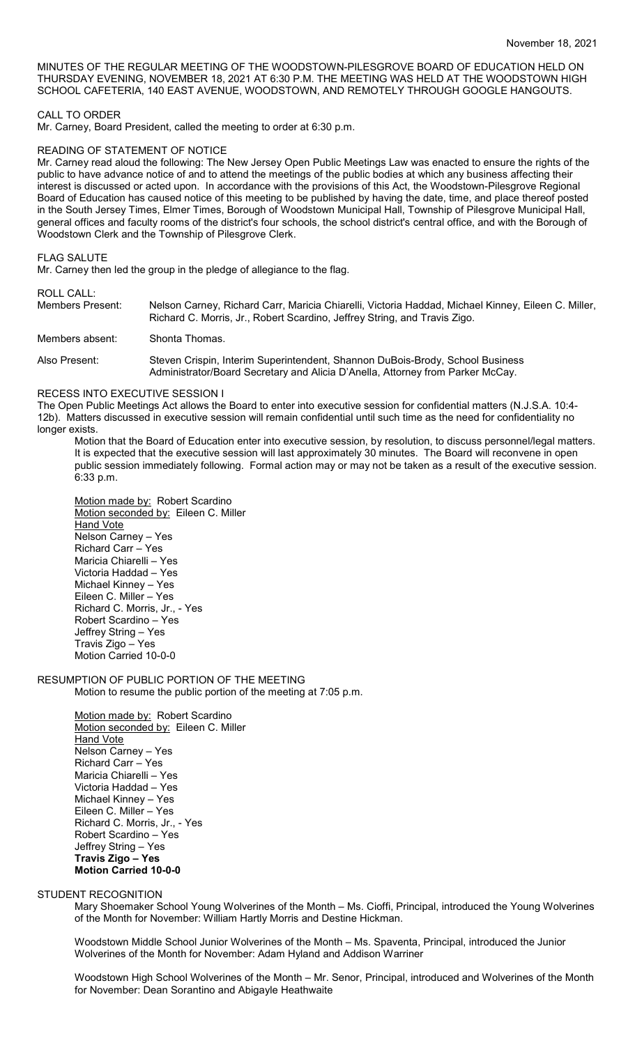MINUTES OF THE REGULAR MEETING OF THE WOODSTOWN-PILESGROVE BOARD OF EDUCATION HELD ON THURSDAY EVENING, NOVEMBER 18, 2021 AT 6:30 P.M. THE MEETING WAS HELD AT THE WOODSTOWN HIGH SCHOOL CAFETERIA, 140 EAST AVENUE, WOODSTOWN, AND REMOTELY THROUGH GOOGLE HANGOUTS.

## CALL TO ORDER

Mr. Carney, Board President, called the meeting to order at 6:30 p.m.

### READING OF STATEMENT OF NOTICE

Mr. Carney read aloud the following: The New Jersey Open Public Meetings Law was enacted to ensure the rights of the public to have advance notice of and to attend the meetings of the public bodies at which any business affecting their interest is discussed or acted upon. In accordance with the provisions of this Act, the Woodstown-Pilesgrove Regional Board of Education has caused notice of this meeting to be published by having the date, time, and place thereof posted in the South Jersey Times, Elmer Times, Borough of Woodstown Municipal Hall, Township of Pilesgrove Municipal Hall, general offices and faculty rooms of the district's four schools, the school district's central office, and with the Borough of Woodstown Clerk and the Township of Pilesgrove Clerk.

### FLAG SALUTE

Mr. Carney then led the group in the pledge of allegiance to the flag.

ROLL CALL:

Members Present: Nelson Carney, Richard Carr, Maricia Chiarelli, Victoria Haddad, Michael Kinney, Eileen C. Miller, Richard C. Morris, Jr., Robert Scardino, Jeffrey String, and Travis Zigo.

Members absent: Shonta Thomas.

Also Present: Steven Crispin, Interim Superintendent, Shannon DuBois-Brody, School Business Administrator/Board Secretary and Alicia D'Anella, Attorney from Parker McCay.

#### RECESS INTO EXECUTIVE SESSION I

The Open Public Meetings Act allows the Board to enter into executive session for confidential matters (N.J.S.A. 10:4- 12b). Matters discussed in executive session will remain confidential until such time as the need for confidentiality no longer exists.

Motion that the Board of Education enter into executive session, by resolution, to discuss personnel/legal matters. It is expected that the executive session will last approximately 30 minutes. The Board will reconvene in open public session immediately following. Formal action may or may not be taken as a result of the executive session. 6:33 p.m.

Motion made by: Robert Scardino Motion seconded by: Eileen C. Miller **Hand Vote** Nelson Carney – Yes Richard Carr – Yes Maricia Chiarelli – Yes Victoria Haddad – Yes Michael Kinney – Yes Eileen C. Miller – Yes Richard C. Morris, Jr., - Yes Robert Scardino – Yes Jeffrey String – Yes Travis Zigo – Yes Motion Carried 10-0-0

RESUMPTION OF PUBLIC PORTION OF THE MEETING Motion to resume the public portion of the meeting at 7:05 p.m.

> Motion made by: Robert Scardino Motion seconded by: Eileen C. Miller **Hand Vote** Nelson Carney – Yes Richard Carr – Yes Maricia Chiarelli – Yes Victoria Haddad – Yes Michael Kinney – Yes Eileen C. Miller – Yes Richard C. Morris, Jr., - Yes Robert Scardino – Yes Jeffrey String – Yes **Travis Zigo – Yes Motion Carried 10-0-0**

## STUDENT RECOGNITION

Mary Shoemaker School Young Wolverines of the Month – Ms. Cioffi, Principal, introduced the Young Wolverines of the Month for November: William Hartly Morris and Destine Hickman.

Woodstown Middle School Junior Wolverines of the Month – Ms. Spaventa, Principal, introduced the Junior Wolverines of the Month for November: Adam Hyland and Addison Warriner

Woodstown High School Wolverines of the Month – Mr. Senor, Principal, introduced and Wolverines of the Month for November: Dean Sorantino and Abigayle Heathwaite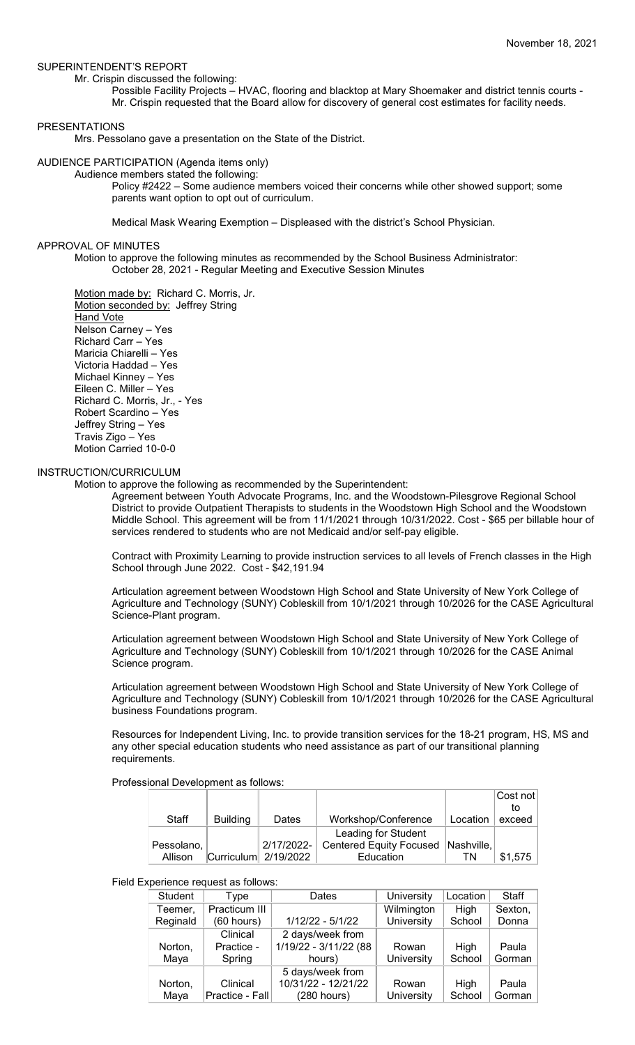## SUPERINTENDENT'S REPORT

Mr. Crispin discussed the following:

Possible Facility Projects – HVAC, flooring and blacktop at Mary Shoemaker and district tennis courts - Mr. Crispin requested that the Board allow for discovery of general cost estimates for facility needs.

## **PRESENTATIONS**

Mrs. Pessolano gave a presentation on the State of the District.

AUDIENCE PARTICIPATION (Agenda items only)

Audience members stated the following:

Policy #2422 – Some audience members voiced their concerns while other showed support; some parents want option to opt out of curriculum.

Medical Mask Wearing Exemption – Displeased with the district's School Physician.

### APPROVAL OF MINUTES

Motion to approve the following minutes as recommended by the School Business Administrator: October 28, 2021 - Regular Meeting and Executive Session Minutes

Motion made by: Richard C. Morris, Jr. Motion seconded by: Jeffrey String Hand Vote Nelson Carney – Yes Richard Carr – Yes Maricia Chiarelli – Yes Victoria Haddad – Yes Michael Kinney – Yes Eileen C. Miller – Yes Richard C. Morris, Jr., - Yes Robert Scardino – Yes Jeffrey String – Yes Travis Zigo – Yes Motion Carried 10-0-0

## INSTRUCTION/CURRICULUM

Motion to approve the following as recommended by the Superintendent:

Agreement between Youth Advocate Programs, Inc. and the Woodstown-Pilesgrove Regional School District to provide Outpatient Therapists to students in the Woodstown High School and the Woodstown Middle School. This agreement will be from 11/1/2021 through 10/31/2022. Cost - \$65 per billable hour of services rendered to students who are not Medicaid and/or self-pay eligible.

Contract with Proximity Learning to provide instruction services to all levels of French classes in the High School through June 2022. Cost - \$42,191.94

Articulation agreement between Woodstown High School and State University of New York College of Agriculture and Technology (SUNY) Cobleskill from 10/1/2021 through 10/2026 for the CASE Agricultural Science-Plant program.

Articulation agreement between Woodstown High School and State University of New York College of Agriculture and Technology (SUNY) Cobleskill from 10/1/2021 through 10/2026 for the CASE Animal Science program.

Articulation agreement between Woodstown High School and State University of New York College of Agriculture and Technology (SUNY) Cobleskill from 10/1/2021 through 10/2026 for the CASE Agricultural business Foundations program.

Resources for Independent Living, Inc. to provide transition services for the 18-21 program, HS, MS and any other special education students who need assistance as part of our transitional planning requirements.

Professional Development as follows:

|            |                 |                                 |                                |            | Cost not |
|------------|-----------------|---------------------------------|--------------------------------|------------|----------|
|            |                 |                                 |                                |            | to       |
| Staff      | <b>Building</b> | Dates                           | Workshop/Conference            | Location   | exceed   |
|            |                 |                                 | Leading for Student            |            |          |
| Pessolano, |                 | 2/17/2022-                      | <b>Centered Equity Focused</b> | Nashville, |          |
| Allison    |                 | $ Cur)$ Curriculum $ 2/19/2022$ | Education                      | ΤN         | \$1,575  |

## Field Experience request as follows:

| <b>Student</b>      | Type            | Dates                 | University | Location | Staff   |  |  |
|---------------------|-----------------|-----------------------|------------|----------|---------|--|--|
| Teemer,             | Practicum III   |                       | Wilmington | High     | Sexton, |  |  |
| Reginald            | $(60$ hours)    | $1/12/22 - 5/1/22$    | University | School   | Donna   |  |  |
|                     | Clinical        | 2 days/week from      |            |          |         |  |  |
| Norton,             | Practice -      | 1/19/22 - 3/11/22 (88 | Rowan      | High     | Paula   |  |  |
| Maya                | Spring          | hours)                | University | School   | Gorman  |  |  |
|                     |                 | 5 days/week from      |            |          |         |  |  |
| Clinical<br>Norton, |                 | 10/31/22 - 12/21/22   | Rowan      | High     | Paula   |  |  |
| Maya                | Practice - Fall | (280 hours)           | University | School   | Gorman  |  |  |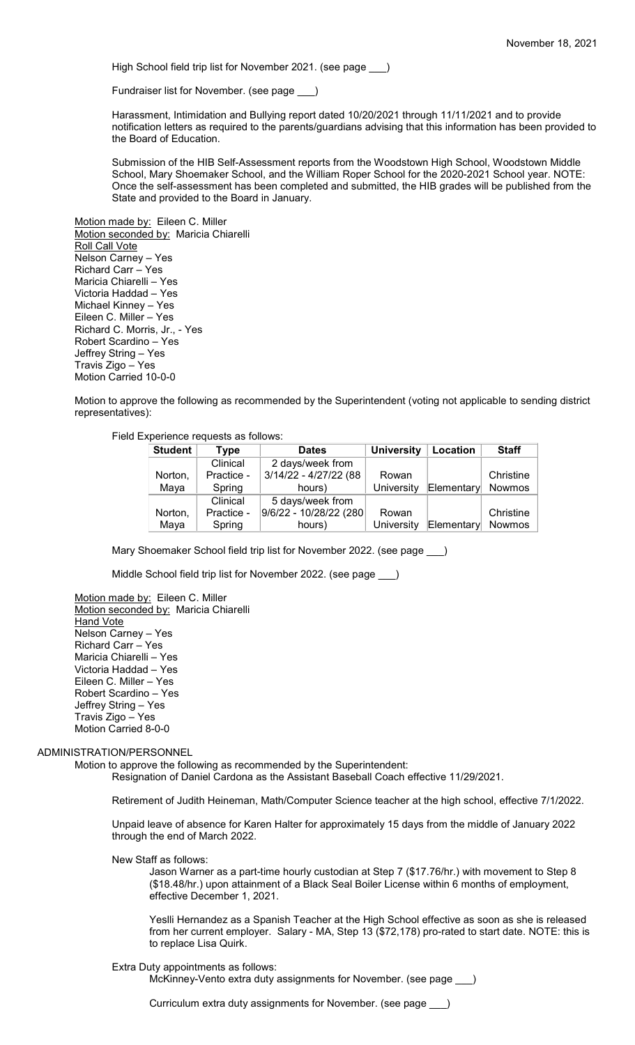High School field trip list for November 2021. (see page )

Fundraiser list for November. (see page \_\_\_)

Harassment, Intimidation and Bullying report dated 10/20/2021 through 11/11/2021 and to provide notification letters as required to the parents/guardians advising that this information has been provided to the Board of Education.

Submission of the HIB Self-Assessment reports from the Woodstown High School, Woodstown Middle School, Mary Shoemaker School, and the William Roper School for the 2020-2021 School year. NOTE: Once the self-assessment has been completed and submitted, the HIB grades will be published from the State and provided to the Board in January.

Motion made by: Eileen C. Miller Motion seconded by: Maricia Chiarelli Roll Call Vote Nelson Carney – Yes Richard Carr – Yes Maricia Chiarelli – Yes Victoria Haddad – Yes Michael Kinney – Yes Eileen C. Miller – Yes Richard C. Morris, Jr., - Yes Robert Scardino – Yes Jeffrey String – Yes Travis Zigo – Yes Motion Carried 10-0-0

Motion to approve the following as recommended by the Superintendent (voting not applicable to sending district representatives):

Field Experience requests as follows:

| <b>Student</b><br>Type |            | <b>Dates</b>           | <b>University</b> | Location   | <b>Staff</b>  |
|------------------------|------------|------------------------|-------------------|------------|---------------|
|                        | Clinical   | 2 days/week from       |                   |            |               |
| Norton,                | Practice - | 3/14/22 - 4/27/22 (88  | Rowan             |            | Christine     |
| Maya                   | Spring     | hours)                 | <b>University</b> | Elementary | <b>Nowmos</b> |
|                        | Clinical   | 5 days/week from       |                   |            |               |
| Norton,                | Practice - | 9/6/22 - 10/28/22 (280 | Rowan             |            | Christine     |
| Maya                   | Spring     | hours)                 | University        | Elementary | <b>Nowmos</b> |

Mary Shoemaker School field trip list for November 2022. (see page )

Middle School field trip list for November 2022. (see page \_\_\_)

Motion made by: Eileen C. Miller Motion seconded by: Maricia Chiarelli **Hand Vote** Nelson Carney – Yes Richard Carr – Yes Maricia Chiarelli – Yes Victoria Haddad – Yes Eileen C. Miller – Yes Robert Scardino – Yes Jeffrey String – Yes Travis Zigo – Yes Motion Carried 8-0-0

ADMINISTRATION/PERSONNEL

Motion to approve the following as recommended by the Superintendent:

Resignation of Daniel Cardona as the Assistant Baseball Coach effective 11/29/2021.

Retirement of Judith Heineman, Math/Computer Science teacher at the high school, effective 7/1/2022.

Unpaid leave of absence for Karen Halter for approximately 15 days from the middle of January 2022 through the end of March 2022.

New Staff as follows:

Jason Warner as a part-time hourly custodian at Step 7 (\$17.76/hr.) with movement to Step 8 (\$18.48/hr.) upon attainment of a Black Seal Boiler License within 6 months of employment, effective December 1, 2021.

Yeslli Hernandez as a Spanish Teacher at the High School effective as soon as she is released from her current employer. Salary - MA, Step 13 (\$72,178) pro-rated to start date. NOTE: this is to replace Lisa Quirk.

Extra Duty appointments as follows:

McKinney-Vento extra duty assignments for November. (see page \_\_\_)

Curriculum extra duty assignments for November. (see page \_\_\_)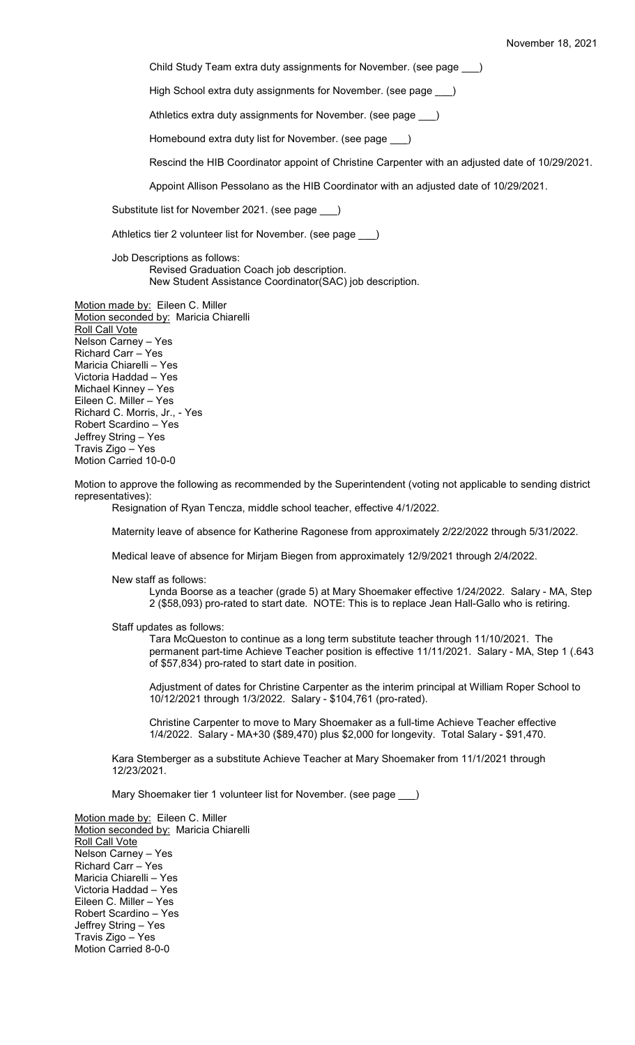Child Study Team extra duty assignments for November. (see page \_\_\_)

High School extra duty assignments for November. (see page \_\_\_)

Athletics extra duty assignments for November. (see page )

Homebound extra duty list for November. (see page \_\_\_)

Rescind the HIB Coordinator appoint of Christine Carpenter with an adjusted date of 10/29/2021.

Appoint Allison Pessolano as the HIB Coordinator with an adjusted date of 10/29/2021.

Substitute list for November 2021. (see page \_\_\_)

Athletics tier 2 volunteer list for November. (see page \_\_\_)

Job Descriptions as follows: Revised Graduation Coach job description. New Student Assistance Coordinator(SAC) job description.

Motion made by: Eileen C. Miller Motion seconded by: Maricia Chiarelli Roll Call Vote Nelson Carney – Yes Richard Carr – Yes Maricia Chiarelli – Yes Victoria Haddad – Yes Michael Kinney – Yes Eileen C. Miller – Yes Richard C. Morris, Jr., - Yes Robert Scardino – Yes Jeffrey String – Yes Travis Zigo – Yes Motion Carried 10-0-0

Motion to approve the following as recommended by the Superintendent (voting not applicable to sending district representatives):

Resignation of Ryan Tencza, middle school teacher, effective 4/1/2022.

Maternity leave of absence for Katherine Ragonese from approximately 2/22/2022 through 5/31/2022.

Medical leave of absence for Mirjam Biegen from approximately 12/9/2021 through 2/4/2022.

New staff as follows:

Lynda Boorse as a teacher (grade 5) at Mary Shoemaker effective 1/24/2022. Salary - MA, Step 2 (\$58,093) pro-rated to start date. NOTE: This is to replace Jean Hall-Gallo who is retiring.

Staff updates as follows:

Tara McQueston to continue as a long term substitute teacher through 11/10/2021. The permanent part-time Achieve Teacher position is effective 11/11/2021. Salary - MA, Step 1 (.643 of \$57,834) pro-rated to start date in position.

Adjustment of dates for Christine Carpenter as the interim principal at William Roper School to 10/12/2021 through 1/3/2022. Salary - \$104,761 (pro-rated).

Christine Carpenter to move to Mary Shoemaker as a full-time Achieve Teacher effective 1/4/2022. Salary - MA+30 (\$89,470) plus \$2,000 for longevity. Total Salary - \$91,470.

Kara Stemberger as a substitute Achieve Teacher at Mary Shoemaker from 11/1/2021 through 12/23/2021.

Mary Shoemaker tier 1 volunteer list for November. (see page \_\_\_)

Motion made by: Eileen C. Miller Motion seconded by: Maricia Chiarelli **Roll Call Vote** Nelson Carney – Yes Richard Carr – Yes Maricia Chiarelli – Yes Victoria Haddad – Yes Eileen C. Miller – Yes Robert Scardino – Yes Jeffrey String – Yes Travis Zigo – Yes Motion Carried 8-0-0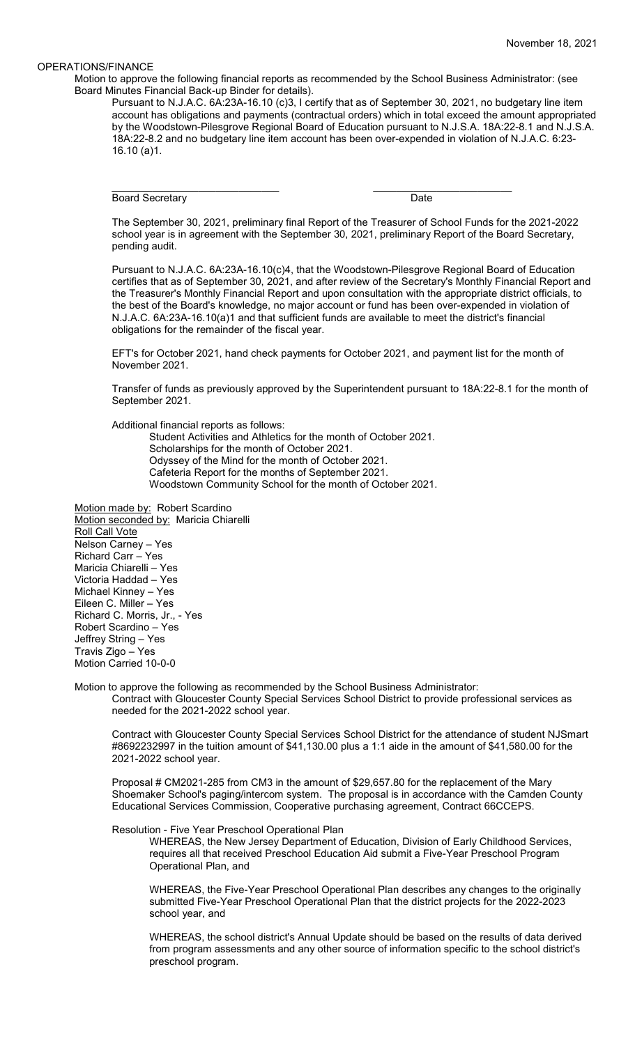## OPERATIONS/FINANCE

Motion to approve the following financial reports as recommended by the School Business Administrator: (see Board Minutes Financial Back-up Binder for details).

Pursuant to N.J.A.C. 6A:23A-16.10 (c)3, I certify that as of September 30, 2021, no budgetary line item account has obligations and payments (contractual orders) which in total exceed the amount appropriated by the Woodstown-Pilesgrove Regional Board of Education pursuant to N.J.S.A. 18A:22-8.1 and N.J.S.A. 18A:22-8.2 and no budgetary line item account has been over-expended in violation of N.J.A.C. 6:23- 16.10 (a)1.

Board Secretary **Date** 

\_\_\_\_\_\_\_\_\_\_\_\_\_\_\_\_\_\_\_\_\_\_\_\_\_\_\_\_\_ \_\_\_\_\_\_\_\_\_\_\_\_\_\_\_\_\_\_\_\_\_\_\_\_

The September 30, 2021, preliminary final Report of the Treasurer of School Funds for the 2021-2022 school year is in agreement with the September 30, 2021, preliminary Report of the Board Secretary, pending audit.

Pursuant to N.J.A.C. 6A:23A-16.10(c)4, that the Woodstown-Pilesgrove Regional Board of Education certifies that as of September 30, 2021, and after review of the Secretary's Monthly Financial Report and the Treasurer's Monthly Financial Report and upon consultation with the appropriate district officials, to the best of the Board's knowledge, no major account or fund has been over-expended in violation of N.J.A.C. 6A:23A-16.10(a)1 and that sufficient funds are available to meet the district's financial obligations for the remainder of the fiscal year.

EFT's for October 2021, hand check payments for October 2021, and payment list for the month of November 2021.

Transfer of funds as previously approved by the Superintendent pursuant to 18A:22-8.1 for the month of September 2021.

Additional financial reports as follows:

Student Activities and Athletics for the month of October 2021.

Scholarships for the month of October 2021.

Odyssey of the Mind for the month of October 2021. Cafeteria Report for the months of September 2021.

Woodstown Community School for the month of October 2021.

Motion made by: Robert Scardino Motion seconded by: Maricia Chiarelli Roll Call Vote Nelson Carney – Yes Richard Carr – Yes Maricia Chiarelli – Yes Victoria Haddad – Yes Michael Kinney – Yes Eileen C. Miller – Yes Richard C. Morris, Jr., - Yes Robert Scardino – Yes Jeffrey String – Yes Travis Zigo – Yes Motion Carried 10-0-0

Motion to approve the following as recommended by the School Business Administrator: Contract with Gloucester County Special Services School District to provide professional services as needed for the 2021-2022 school year.

Contract with Gloucester County Special Services School District for the attendance of student NJSmart #8692232997 in the tuition amount of \$41,130.00 plus a 1:1 aide in the amount of \$41,580.00 for the 2021-2022 school year.

Proposal # CM2021-285 from CM3 in the amount of \$29,657.80 for the replacement of the Mary Shoemaker School's paging/intercom system. The proposal is in accordance with the Camden County Educational Services Commission, Cooperative purchasing agreement, Contract 66CCEPS.

Resolution - Five Year Preschool Operational Plan

WHEREAS, the New Jersey Department of Education, Division of Early Childhood Services, requires all that received Preschool Education Aid submit a Five-Year Preschool Program Operational Plan, and

WHEREAS, the Five-Year Preschool Operational Plan describes any changes to the originally submitted Five-Year Preschool Operational Plan that the district projects for the 2022-2023 school year, and

WHEREAS, the school district's Annual Update should be based on the results of data derived from program assessments and any other source of information specific to the school district's preschool program.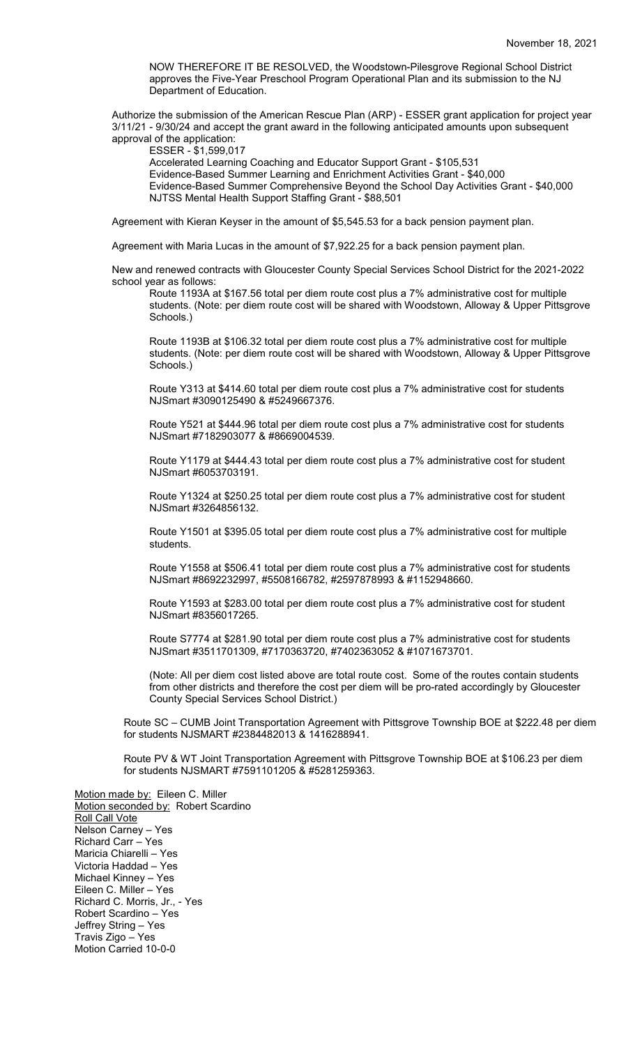NOW THEREFORE IT BE RESOLVED, the Woodstown-Pilesgrove Regional School District approves the Five-Year Preschool Program Operational Plan and its submission to the NJ Department of Education.

Authorize the submission of the American Rescue Plan (ARP) - ESSER grant application for project year 3/11/21 - 9/30/24 and accept the grant award in the following anticipated amounts upon subsequent approval of the application:

ESSER - \$1,599,017

Accelerated Learning Coaching and Educator Support Grant - \$105,531 Evidence-Based Summer Learning and Enrichment Activities Grant - \$40,000 Evidence-Based Summer Comprehensive Beyond the School Day Activities Grant - \$40,000 NJTSS Mental Health Support Staffing Grant - \$88,501

Agreement with Kieran Keyser in the amount of \$5,545.53 for a back pension payment plan.

Agreement with Maria Lucas in the amount of \$7,922.25 for a back pension payment plan.

New and renewed contracts with Gloucester County Special Services School District for the 2021-2022 school year as follows:

Route 1193A at \$167.56 total per diem route cost plus a 7% administrative cost for multiple students. (Note: per diem route cost will be shared with Woodstown, Alloway & Upper Pittsgrove Schools.)

Route 1193B at \$106.32 total per diem route cost plus a 7% administrative cost for multiple students. (Note: per diem route cost will be shared with Woodstown, Alloway & Upper Pittsgrove Schools.)

Route Y313 at \$414.60 total per diem route cost plus a 7% administrative cost for students NJSmart #3090125490 & #5249667376.

Route Y521 at \$444.96 total per diem route cost plus a 7% administrative cost for students NJSmart #7182903077 & #8669004539.

Route Y1179 at \$444.43 total per diem route cost plus a 7% administrative cost for student NJSmart #6053703191.

Route Y1324 at \$250.25 total per diem route cost plus a 7% administrative cost for student NJSmart #3264856132.

Route Y1501 at \$395.05 total per diem route cost plus a 7% administrative cost for multiple students.

Route Y1558 at \$506.41 total per diem route cost plus a 7% administrative cost for students NJSmart #8692232997, #5508166782, #2597878993 & #1152948660.

Route Y1593 at \$283.00 total per diem route cost plus a 7% administrative cost for student NJSmart #8356017265.

Route S7774 at \$281.90 total per diem route cost plus a 7% administrative cost for students NJSmart #3511701309, #7170363720, #7402363052 & #1071673701.

(Note: All per diem cost listed above are total route cost. Some of the routes contain students from other districts and therefore the cost per diem will be pro-rated accordingly by Gloucester County Special Services School District.)

Route SC – CUMB Joint Transportation Agreement with Pittsgrove Township BOE at \$222.48 per diem for students NJSMART #2384482013 & 1416288941.

Route PV & WT Joint Transportation Agreement with Pittsgrove Township BOE at \$106.23 per diem for students NJSMART #7591101205 & #5281259363.

Motion made by: Eileen C. Miller Motion seconded by: Robert Scardino Roll Call Vote Nelson Carney – Yes Richard Carr – Yes Maricia Chiarelli – Yes Victoria Haddad – Yes Michael Kinney – Yes Eileen C. Miller – Yes Richard C. Morris, Jr., - Yes Robert Scardino – Yes Jeffrey String – Yes Travis Zigo – Yes Motion Carried 10-0-0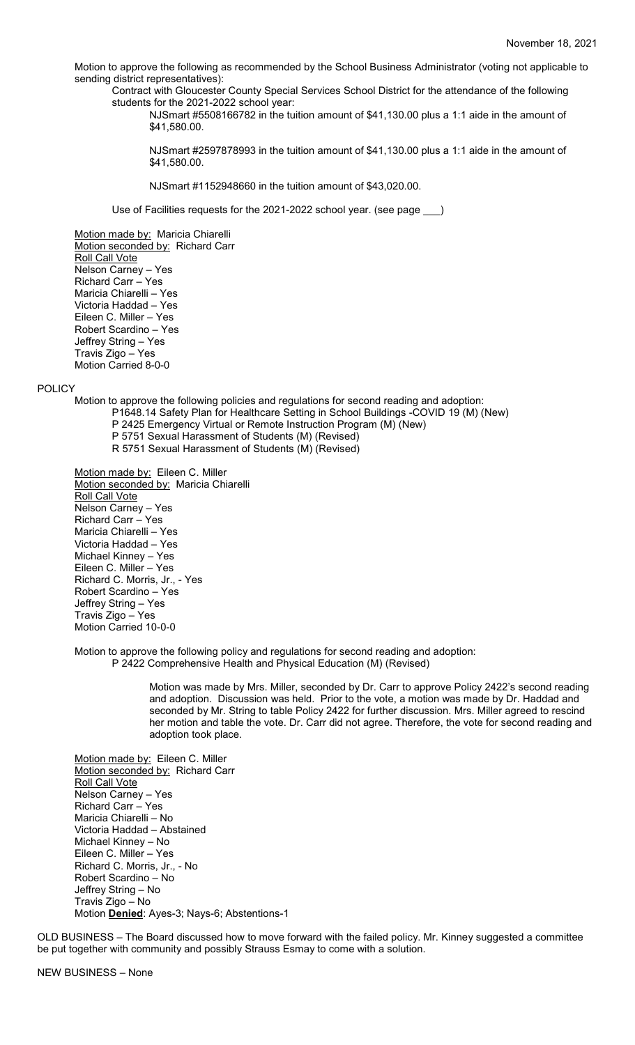Motion to approve the following as recommended by the School Business Administrator (voting not applicable to sending district representatives):

Contract with Gloucester County Special Services School District for the attendance of the following students for the 2021-2022 school year:

NJSmart #5508166782 in the tuition amount of \$41,130.00 plus a 1:1 aide in the amount of \$41,580.00.

NJSmart #2597878993 in the tuition amount of \$41,130.00 plus a 1:1 aide in the amount of \$41,580.00.

NJSmart #1152948660 in the tuition amount of \$43,020.00.

Use of Facilities requests for the 2021-2022 school year. (see page \_\_\_)

Motion made by: Maricia Chiarelli Motion seconded by: Richard Carr Roll Call Vote Nelson Carney – Yes Richard Carr – Yes Maricia Chiarelli – Yes Victoria Haddad – Yes Eileen C. Miller – Yes Robert Scardino – Yes Jeffrey String – Yes Travis Zigo – Yes Motion Carried 8-0-0

POLICY

Motion to approve the following policies and regulations for second reading and adoption:

- P1648.14 Safety Plan for Healthcare Setting in School Buildings -COVID 19 (M) (New)
- P 2425 Emergency Virtual or Remote Instruction Program (M) (New)
- P 5751 Sexual Harassment of Students (M) (Revised)
- R 5751 Sexual Harassment of Students (M) (Revised)

Motion made by: Eileen C. Miller Motion seconded by: Maricia Chiarelli Roll Call Vote Nelson Carney – Yes Richard Carr – Yes Maricia Chiarelli – Yes Victoria Haddad – Yes Michael Kinney – Yes Eileen C. Miller – Yes Richard C. Morris, Jr., - Yes Robert Scardino – Yes Jeffrey String – Yes Travis Zigo – Yes Motion Carried 10-0-0

Motion to approve the following policy and regulations for second reading and adoption: P 2422 Comprehensive Health and Physical Education (M) (Revised)

> Motion was made by Mrs. Miller, seconded by Dr. Carr to approve Policy 2422's second reading and adoption. Discussion was held. Prior to the vote, a motion was made by Dr. Haddad and seconded by Mr. String to table Policy 2422 for further discussion. Mrs. Miller agreed to rescind her motion and table the vote. Dr. Carr did not agree. Therefore, the vote for second reading and adoption took place.

Motion made by: Eileen C. Miller Motion seconded by: Richard Carr Roll Call Vote Nelson Carney – Yes Richard Carr – Yes Maricia Chiarelli – No Victoria Haddad – Abstained Michael Kinney – No Eileen C. Miller – Yes Richard C. Morris, Jr., - No Robert Scardino – No Jeffrey String – No Travis Zigo – No Motion **Denied**: Ayes-3; Nays-6; Abstentions-1

OLD BUSINESS – The Board discussed how to move forward with the failed policy. Mr. Kinney suggested a committee be put together with community and possibly Strauss Esmay to come with a solution.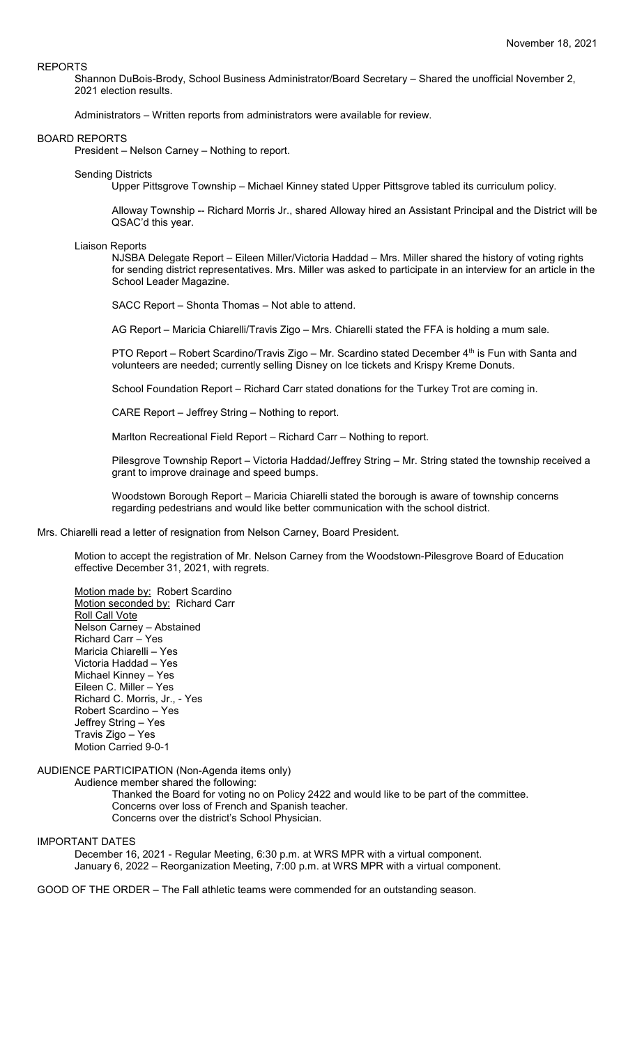#### REPORTS

Shannon DuBois-Brody, School Business Administrator/Board Secretary – Shared the unofficial November 2, 2021 election results.

Administrators – Written reports from administrators were available for review.

#### BOARD REPORTS

President – Nelson Carney – Nothing to report.

#### Sending Districts

Upper Pittsgrove Township – Michael Kinney stated Upper Pittsgrove tabled its curriculum policy.

Alloway Township -- Richard Morris Jr., shared Alloway hired an Assistant Principal and the District will be QSAC'd this year.

#### Liaison Reports

NJSBA Delegate Report – Eileen Miller/Victoria Haddad – Mrs. Miller shared the history of voting rights for sending district representatives. Mrs. Miller was asked to participate in an interview for an article in the School Leader Magazine.

SACC Report – Shonta Thomas – Not able to attend.

AG Report – Maricia Chiarelli/Travis Zigo – Mrs. Chiarelli stated the FFA is holding a mum sale.

PTO Report – Robert Scardino/Travis Zigo – Mr. Scardino stated December 4<sup>th</sup> is Fun with Santa and volunteers are needed; currently selling Disney on Ice tickets and Krispy Kreme Donuts.

School Foundation Report – Richard Carr stated donations for the Turkey Trot are coming in.

CARE Report – Jeffrey String – Nothing to report.

Marlton Recreational Field Report – Richard Carr – Nothing to report.

Pilesgrove Township Report – Victoria Haddad/Jeffrey String – Mr. String stated the township received a grant to improve drainage and speed bumps.

Woodstown Borough Report – Maricia Chiarelli stated the borough is aware of township concerns regarding pedestrians and would like better communication with the school district.

## Mrs. Chiarelli read a letter of resignation from Nelson Carney, Board President.

Motion to accept the registration of Mr. Nelson Carney from the Woodstown-Pilesgrove Board of Education effective December 31, 2021, with regrets.

Motion made by: Robert Scardino Motion seconded by: Richard Carr Roll Call Vote Nelson Carney – Abstained Richard Carr – Yes Maricia Chiarelli – Yes Victoria Haddad – Yes Michael Kinney – Yes Eileen C. Miller – Yes Richard C. Morris, Jr., - Yes Robert Scardino – Yes Jeffrey String – Yes Travis Zigo – Yes Motion Carried 9-0-1

AUDIENCE PARTICIPATION (Non-Agenda items only)

Audience member shared the following:

Thanked the Board for voting no on Policy 2422 and would like to be part of the committee. Concerns over loss of French and Spanish teacher. Concerns over the district's School Physician.

IMPORTANT DATES

December 16, 2021 - Regular Meeting, 6:30 p.m. at WRS MPR with a virtual component. January 6, 2022 – Reorganization Meeting, 7:00 p.m. at WRS MPR with a virtual component.

GOOD OF THE ORDER – The Fall athletic teams were commended for an outstanding season.